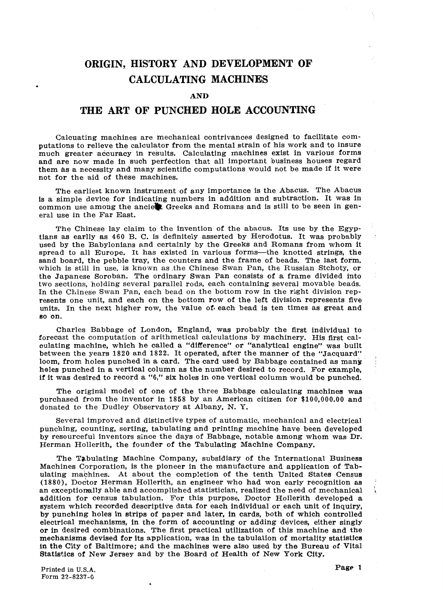# **ORIGIN, HISTORY AND DEVELOPMENT OF CALCULATING MACHINES**

#### **AND**

## **THE ART OF PUNCHED HOLE ACCOUNTING**

Calcuating machines are mechanical contrivances designed to facilitate computations to relieve the calculator from the mental strain of his work and to insure much greater accuracy in results. Calculating machines exist in various forms and are now made in such perfection that all important business houses regard them &s a necessity and many scientific computations would not be made if it were not for the aid of these machines.

The earliest known instrument of any importance is the Abacus. The Abacus is a simple device for indicating numbers in addition and subtraction. It was in common use among the anciest Greeks and Romans and is still to be seen in general use in the Far East.

The original model of one of the three Babbage calculating machines was purchased from the inventor in 1858 by an American citizen for \$100,000.00 and donated to the Dudley Observatory at Albany, N. Y.

**The** Chinese lay claim to the invention of the abacus. Its use by the Egyptians as earlly as 460 B. C. is definitely asserted by Herodotus. It was probably used by the Babylonians and certainly by the Greeks and Romans from whom it spread to all Europe. It has existed in various forms—the knotted strings, the sand board, the pebble tray, the counters and the frame of beads. The last form, which is still in use, is known as the Chinese Swan Pan, the Russian Stchoty, or the Japanese Soroban. **The** ordinary Swan Pan consists of a frame divided into two sections, holding several parallel rods, each containing several movable beads, In the Chinese Swan Pan, each bead on the bottom row in the right division represents one unit, and each on the bottom row of the left division represents five units. In the next higher row, the value of each bead is ten times as great and **so** on.

Machines Corporation, is the pioneer in the manufacture and application of Tabulating mabhines. At about the completion of the tenth United States Census (1880), Doctor Herman Hollerith, an engineer who had won early recognition as  $\frac{1}{2}$  an exceptionally able and accomplished statistician, realized the need of mechanical an exceptiomally able and accomplished statistician, realized the need of mechanical addition for census tabulation. For this purpose, Doctor Hollerith developed a system which recorded descriptive data for each individual or each unit of inquiry, by punching holes in strips of paper and later, in cards, both of which controlled electrical mechanisms, in the form of accounting or adding devices, either singly or in desired combinations. The first practical utilization of this machine and the mechanisms devised for its application, was in the tabulation of mortality statistics in **the** City of Baltimore; and the machines **were** also used by the **Bureau** of Vital Statistics of New Jersey and by the Board of Health of New Pork City.

Charles Babbage of London, England, **was** probably the first individual to forecast the computation of arithmetical calculations by machinery. His first calculating machine, which he called a "difference" or "analytical engine" was built between the years 1820 and 1822. It operated, after the manner of the "Jacquard" loom, from holes punched in a card. The card used by Babbage contained as many holes punched in a vertical column as the number desired to record. For example, if it was desired to record a **"6,"** six holes in one vertical column would be punched.

Several improved and distinctive types of automatic, mechanical and electrical punching, counting, sorting, tabulating and printing machine have been developed by resourceful inventors since the days of Babbage, notable among whom was Dr. Herman Hollerith, the founder of the Tabulating Machine Company.

The Tabulating Machine Company, subsidiary of the International Business

Printed in U.S.A. Form **22-8237-0** 

**Page 1**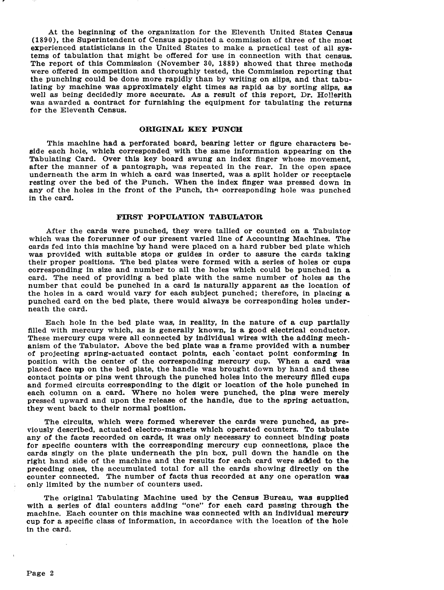At the beginning of the organization for the Eleventh United States Census **(1890),** the Superintendent of Census appointed a commission of three of the moat experienced statisticians in the United States to make a practical test of **all** systems of tabulation that might be offered for use in connection with that census. The report of this Commission (November 30, 1889) showed that three methode were offered in competition and thoroughly tested, the Commission reporting that the punching could be done more rapidly than by writing on slips, and that tabulating by machine was approximately eight times **as** rapid as by sorting slips, **aa**  well as being decidedly more accurate. As a result of **this** report, Dr. Hc!!erith was awarded a contract for furnishing the equipment for tabulating the returns for the Eleventh Census,

#### **ORIGINAL KEY PUNOH**

This machine **had** a perforated board, bearing letter or figure characters beside each hole, which corresponded. with the same information appearing on **the**  Tabulating Card. Over this key board swung an index finger whose movement, after the manner of a pantograph, **was** repeated in the rear. In the open space underneath **the** arm in which a card was inserted, was a split holder or receptacle resting over the bed of the Punch. When the index finger was pressed down in **any** of the holes in the front of the Punch, the corresponding hole was punched in the card.

#### **FIRST POPULATION TABULATOR**

After the cards were punched, they were tallied or counted on a Tabulator which was the forerunner of our present varied line of Accounting Machines. The cards fed into this machine by hand were placed on a hard rubber **bed** plate which was provided with suitable stops or guides in order to assure the cards taking their proper positions. The bed plates were formed with a series of holes or **cups**  corresponding in size and number to all the holes which could be punched in a card. The need of providing a bed plate with the same number of holes **as** the number that could be punched in a card is naturally apparent as the location of the holes in a card would vary for each subject punched; therefore, in placing a punched card on the bed plate, there would always be corresponding holes underneath the card.

Each hole in the bed plate was, in reality, in the nature of a cup partially filled with mercury which, as is generally known, **is** a good electrical conductor. These mercury cups were all connected by individual wires with the adding mechanism of the Tabulator. Above the bed plate was a frame provided with a number of projecting spring-actuated contact points, each 'contact point conforming in position with the center of **the** corresponding mercury cup. When a card was placed **face up** on the bed plate, the handle was brought down by hand and these contact points or pins went through the punched holes into the mercury filled **cups**  and formed circuits corresponding to the digit or location of the hole punched in each column on a card. Where no holes were punched, the pins were merely pressed upward and upon the release of the handle, due to the spring actuation, they went back to their normal position.

The circuits, which were formed wherever the cards were punched, as previously described, actuated electro-magnets which operated counters. To tabulate any of the facts recorded on cards, **it** was only necessary to connect binding posts for specific counters with the corresponding mercury cup connections, place the cards singly on the plate underneath the pin box, pull down the handle on the right hand side of the machine and the results for each card were added to the preceding ones, the accumulated total for all the cards showing directly on **the**  counter connected. The number of facts thus recorded at any one operation **was** , **only** limited by the number of counters **used.** 

**The** original Tabulating Machine used by the Census Bureau, **was** supplied with a series of dial counters adding "one" for each card passing through the machine. Each counter on this machine was connected with an individual mercury cup for a specific class of information, in accordance with the location of the hole in the card.

 $\mathbf{I}$